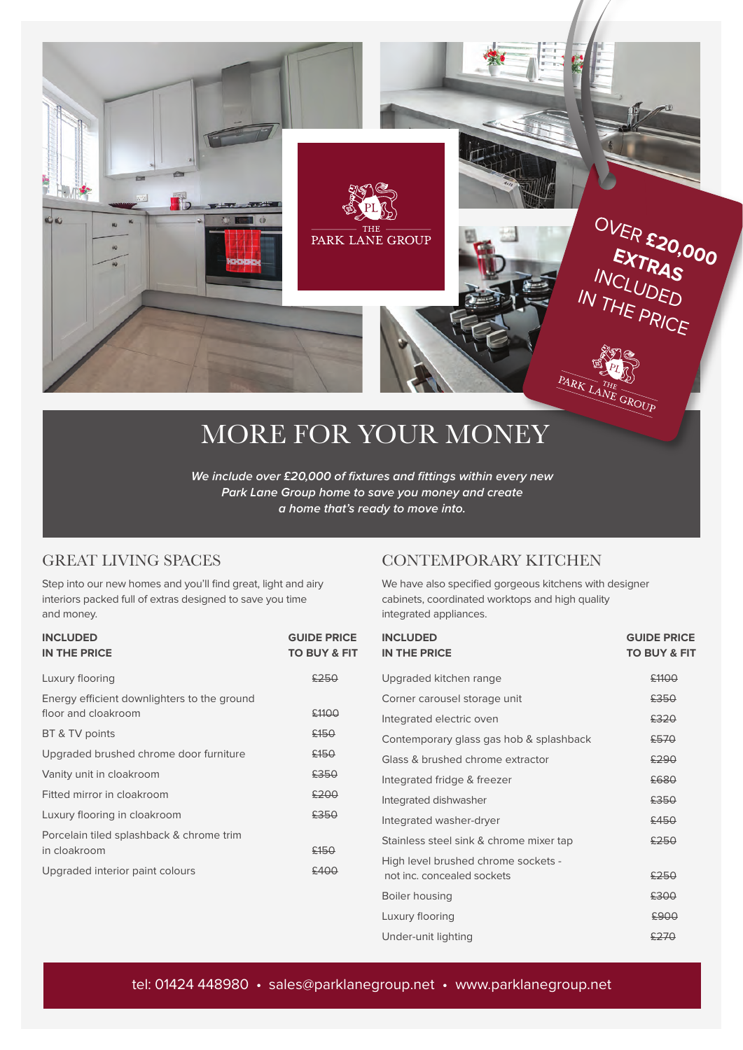

# MORE FOR YOUR MONEY

**We include over £20,000 of fixtures and fittings within every new Park Lane Group home to save you money and create a home that's ready to move into.**

#### GREAT LIVING SPACES

Step into our new homes and you'll find great, light and airy interiors packed full of extras designed to save you time and money.

| <b>INCLUDED</b><br><b>IN THE PRICE</b>                             | <b>GUIDE PRICE</b><br><b>TO BUY &amp; FIT</b> |
|--------------------------------------------------------------------|-----------------------------------------------|
| Luxury flooring                                                    | £250                                          |
| Energy efficient downlighters to the ground<br>floor and cloakroom | £1100                                         |
| BT & TV points                                                     | £150                                          |
| Upgraded brushed chrome door furniture                             | £150                                          |
| Vanity unit in cloakroom                                           | £350                                          |
| Fitted mirror in cloakroom                                         | £200                                          |
| Luxury flooring in cloakroom                                       | £350                                          |
| Porcelain tiled splashback & chrome trim                           |                                               |
| in cloakroom                                                       | £150                                          |
| Upgraded interior paint colours                                    | £400                                          |

#### CONTEMPORARY KITCHEN

We have also specified gorgeous kitchens with designer cabinets, coordinated worktops and high quality integrated appliances.

| <b>INCLUDED</b><br><b>IN THE PRICE</b>  | <b>GUIDE PRICE</b><br><b>TO BUY &amp; FIT</b> |
|-----------------------------------------|-----------------------------------------------|
| Upgraded kitchen range                  | £1100                                         |
| Corner carousel storage unit            | £350                                          |
| Integrated electric oven                | £320                                          |
| Contemporary glass gas hob & splashback | £570                                          |
| Glass & brushed chrome extractor        | £290                                          |
| Integrated fridge & freezer             | £680                                          |
| Integrated dishwasher                   | £350                                          |
| Integrated washer-dryer                 | £450                                          |
| Stainless steel sink & chrome mixer tap | £250                                          |
| High level brushed chrome sockets -     |                                               |
| not inc. concealed sockets              | £250                                          |
| Boiler housing                          | £300                                          |
| Luxury flooring                         | £900                                          |
| Under-unit lighting                     | £270                                          |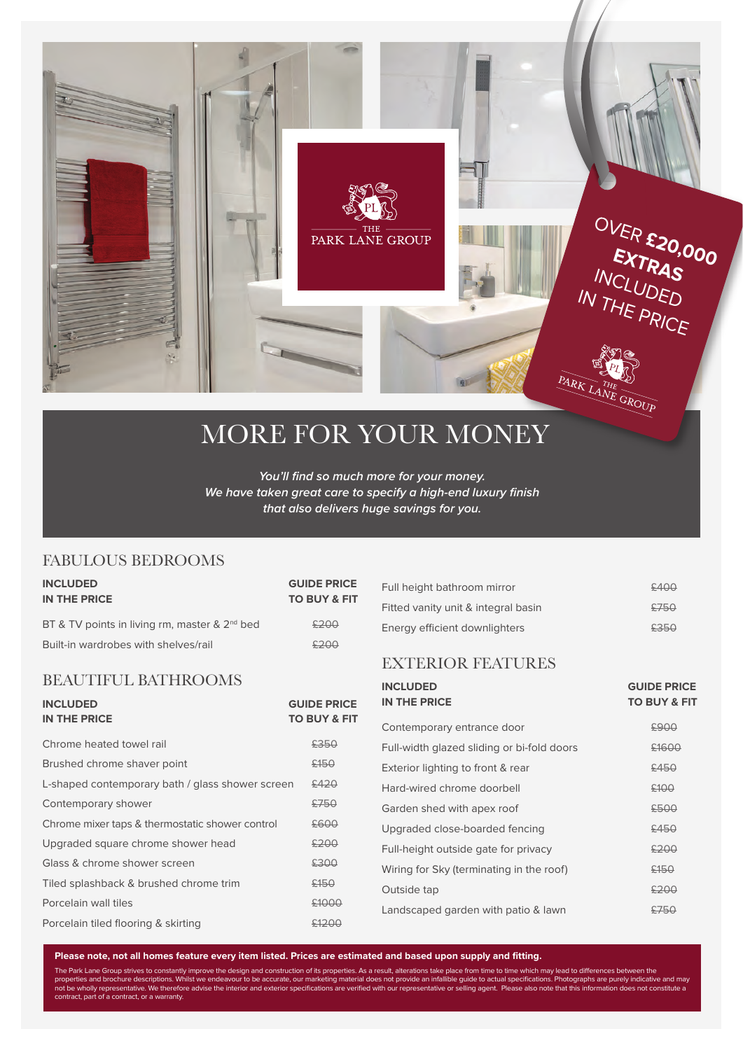

## MORE FOR YOUR MONEY

**You'll find so much more for your money. We have taken great care to specify a high-end luxury finish that also delivers huge savings for you.**

#### FABULOUS BEDROOMS

| <b>INCLUDED</b><br>IN THE PRICE                           | <b>GUIDE PRICE</b><br><b>TO BUY &amp; FIT</b> |
|-----------------------------------------------------------|-----------------------------------------------|
| BT & TV points in living rm, master & 2 <sup>nd</sup> bed | 5200                                          |
| Built-in wardrobes with shelves/rail                      | 5200                                          |

#### BEAUTIFUL BATHROOMS

| <b>INCLUDED</b><br><b>IN THE PRICE</b>           | <b>GUIDE PRICE</b><br><b>TO BUY &amp; FIT</b> |
|--------------------------------------------------|-----------------------------------------------|
| Chrome heated towel rail                         | £350                                          |
| Brushed chrome shaver point                      | £150                                          |
| L-shaped contemporary bath / glass shower screen | £420                                          |
| Contemporary shower                              | £750                                          |
| Chrome mixer taps & thermostatic shower control  | £600                                          |
| Upgraded square chrome shower head               | £200                                          |
| Glass & chrome shower screen                     | £300                                          |
| Tiled splashback & brushed chrome trim           | £150                                          |
| Porcelain wall tiles                             | \$1000                                        |
| Porcelain tiled flooring & skirting              |                                               |

| Full height bathroom mirror         | 5400 |
|-------------------------------------|------|
| Fitted vanity unit & integral basin | 5750 |
| Energy efficient downlighters       | £350 |

#### EXTERIOR FEATURES

| <b>INCLUDED</b><br><b>IN THE PRICE</b>     | <b>GUIDE PRICE</b><br><b>TO BUY &amp; FIT</b> |
|--------------------------------------------|-----------------------------------------------|
| Contemporary entrance door                 | £900                                          |
| Full-width glazed sliding or bi-fold doors | £1600                                         |
| Exterior lighting to front & rear          | £450                                          |
| Hard-wired chrome doorbell                 | £100                                          |
| Garden shed with apex roof                 | £500                                          |
| Upgraded close-boarded fencing             | £450                                          |
| Full-height outside gate for privacy       | £200                                          |
| Wiring for Sky (terminating in the roof)   | £150                                          |
| Outside tap                                | £200                                          |
| Landscaped garden with patio & lawn        | <del>9750</del>                               |

The Park Lane Group strives to constantly improve the design and construction of its properties. As a result, alterations take place from time to time which may lead to differences between the<br>properties and brochure descr **Please note, not all homes feature every item listed. Prices are estimated and based upon supply and fitting.**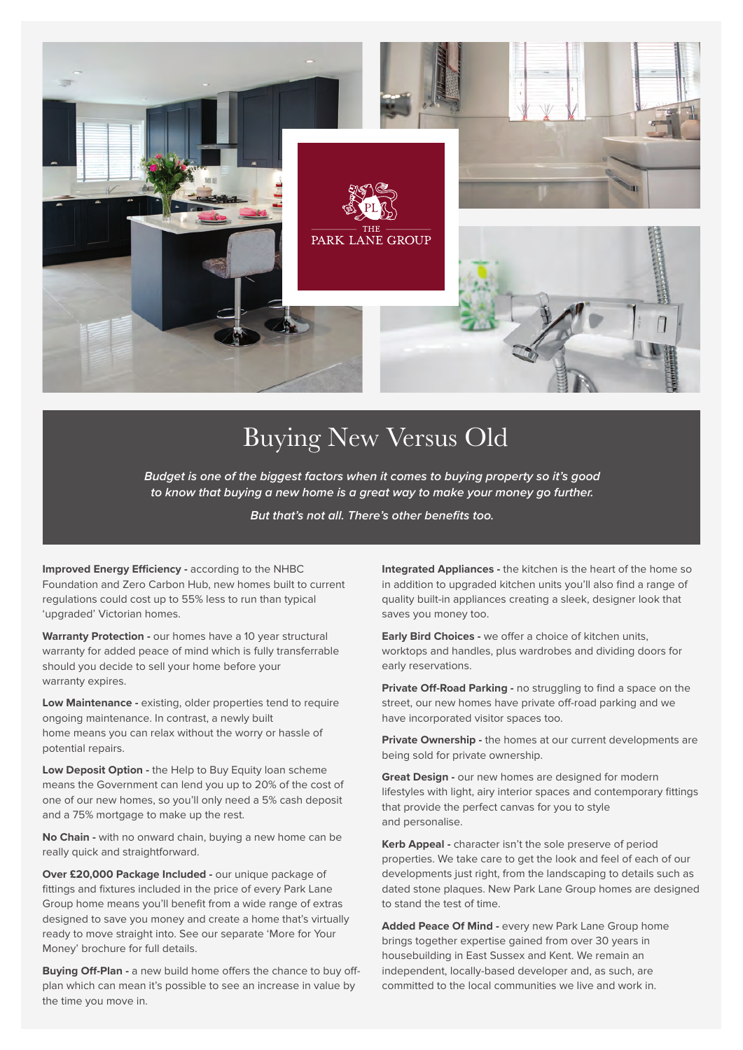

## Buying New Versus Old

**Budget is one of the biggest factors when it comes to buying property so it's good to know that buying a new home is a great way to make your money go further.** 

**But that's not all. There's other benefits too.**

**Improved Energy Efficiency -** according to the NHBC Foundation and Zero Carbon Hub, new homes built to current regulations could cost up to 55% less to run than typical 'upgraded' Victorian homes.

**Warranty Protection -** our homes have a 10 year structural warranty for added peace of mind which is fully transferrable should you decide to sell your home before your warranty expires.

**Low Maintenance -** existing, older properties tend to require ongoing maintenance. In contrast, a newly built home means you can relax without the worry or hassle of potential repairs.

**Low Deposit Option -** the Help to Buy Equity loan scheme means the Government can lend you up to 20% of the cost of one of our new homes, so you'll only need a 5% cash deposit and a 75% mortgage to make up the rest.

**No Chain -** with no onward chain, buying a new home can be really quick and straightforward.

**Over £20,000 Package Included -** our unique package of fittings and fixtures included in the price of every Park Lane Group home means you'll benefit from a wide range of extras designed to save you money and create a home that's virtually ready to move straight into. See our separate 'More for Your Money' brochure for full details.

**Buying Off-Plan -** a new build home offers the chance to buy offplan which can mean it's possible to see an increase in value by the time you move in.

**Integrated Appliances -** the kitchen is the heart of the home so in addition to upgraded kitchen units you'll also find a range of quality built-in appliances creating a sleek, designer look that saves you money too.

**Early Bird Choices -** we offer a choice of kitchen units, worktops and handles, plus wardrobes and dividing doors for early reservations.

**Private Off-Road Parking -** no struggling to find a space on the street, our new homes have private off-road parking and we have incorporated visitor spaces too.

**Private Ownership -** the homes at our current developments are being sold for private ownership.

**Great Design -** our new homes are designed for modern lifestyles with light, airy interior spaces and contemporary fittings that provide the perfect canvas for you to style and personalise.

**Kerb Appeal -** character isn't the sole preserve of period properties. We take care to get the look and feel of each of our developments just right, from the landscaping to details such as dated stone plaques. New Park Lane Group homes are designed to stand the test of time.

**Added Peace Of Mind -** every new Park Lane Group home brings together expertise gained from over 30 years in housebuilding in East Sussex and Kent. We remain an independent, locally-based developer and, as such, are committed to the local communities we live and work in.